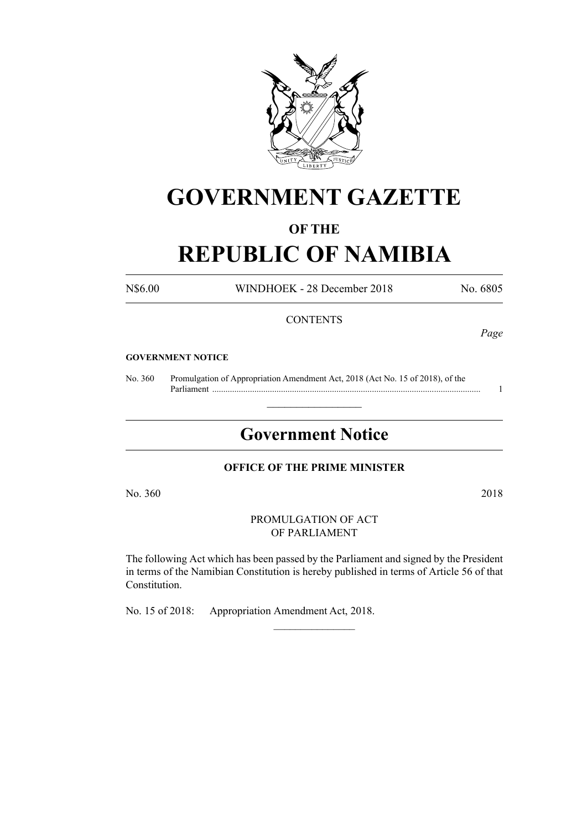

# **GOVERNMENT GAZETTE**

### **OF THE**

# **REPUBLIC OF NAMIBIA**

N\$6.00 WINDHOEK - 28 December 2018 No. 6805

#### **CONTENTS**

*Page*

#### **GOVERNMENT NOTICE**

No. 360 Promulgation of Appropriation Amendment Act, 2018 (Act No. 15 of 2018), of the Parliament ......................................................................................................................... 1

## **Government Notice**

 $\frac{1}{2}$  ,  $\frac{1}{2}$  ,  $\frac{1}{2}$  ,  $\frac{1}{2}$  ,  $\frac{1}{2}$  ,  $\frac{1}{2}$  ,  $\frac{1}{2}$ 

#### **OFFICE OF THE PRIME MINISTER**

No. 360 2018

PROMULGATION OF ACT OF PARLIAMENT

The following Act which has been passed by the Parliament and signed by the President in terms of the Namibian Constitution is hereby published in terms of Article 56 of that Constitution.

 $\frac{1}{2}$ 

No. 15 of 2018: Appropriation Amendment Act, 2018.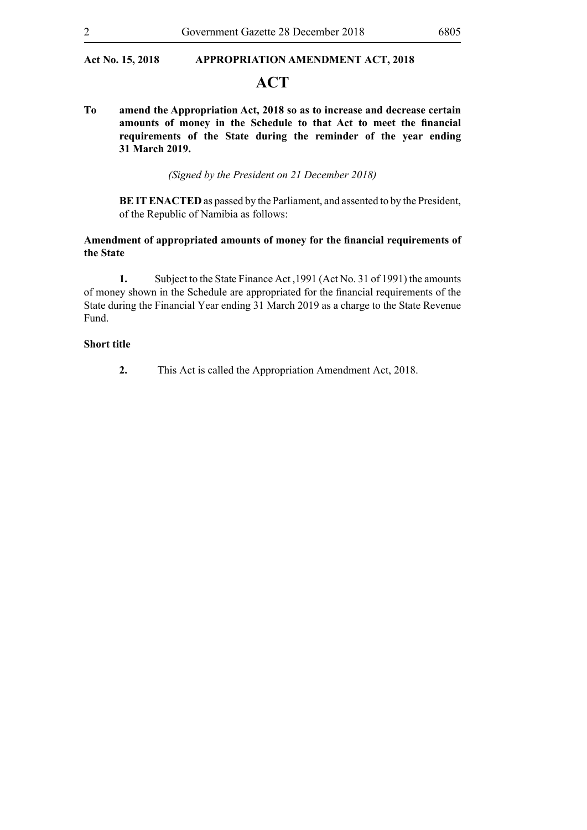#### **Act No. 15, 2018 APPROPRIATION AMENDMENT ACT, 2018**

### **ACT**

**To amend the Appropriation Act, 2018 so as to increase and decrease certain amounts of money in the Schedule to that Act to meet the financial requirements of the State during the reminder of the year ending 31 March 2019.**

*(Signed by the President on 21 December 2018)*

**BE IT ENACTED** as passed by the Parliament, and assented to by the President, of the Republic of Namibia as follows:

#### **Amendment of appropriated amounts of money for the financial requirements of the State**

**1.** Subject to the State Finance Act ,1991 (Act No. 31 of 1991) the amounts of money shown in the Schedule are appropriated for the financial requirements of the State during the Financial Year ending 31 March 2019 as a charge to the State Revenue Fund.

#### **Short title**

**2.** This Act is called the Appropriation Amendment Act, 2018.